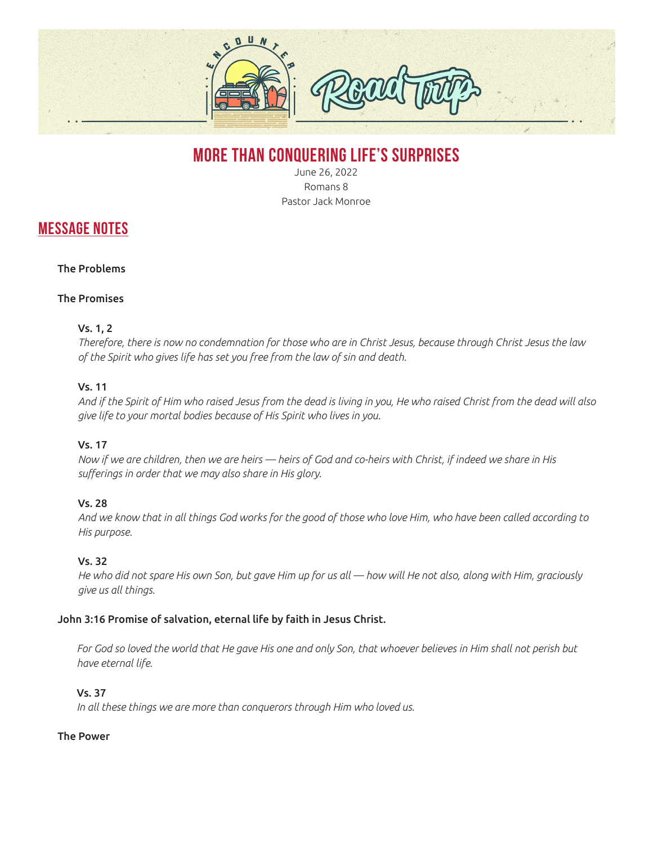

# **MORE THAN CONQUERING LIFE'S SURPRISES**

June 26, 2022 Romans 8 Pastor Jack Monroe

# **MESSAGE NOTES**

# The Problems

#### The Promises

#### Vs. 1, 2

*Therefore, there is now no condemnation for those who are in Christ Jesus, because through Christ Jesus the law of the Spirit who gives life has set you free from the law of sin and death.*

#### Vs. 11

*And if the Spirit of Him who raised Jesus from the dead is living in you, He who raised Christ from the dead will also give life to your mortal bodies because of His Spirit who lives in you.*

# Vs. 17

*Now if we are children, then we are heirs — heirs of God and co-heirs with Christ, if indeed we share in His sufferings in order that we may also share in His glory.*

# Vs. 28

*And we know that in all things God works for the good of those who love Him, who have been called according to His purpose.*

# Vs. 32

*He who did not spare His own Son, but gave Him up for us all — how will He not also, along with Him, graciously give us all things.*

#### John 3:16 Promise of salvation, eternal life by faith in Jesus Christ.

For God so loved the world that He gave His one and only Son, that whoever believes in Him shall not perish but *have eternal life.* 

#### Vs. 37

*In all these things we are more than conquerors through Him who loved us.*

#### The Power